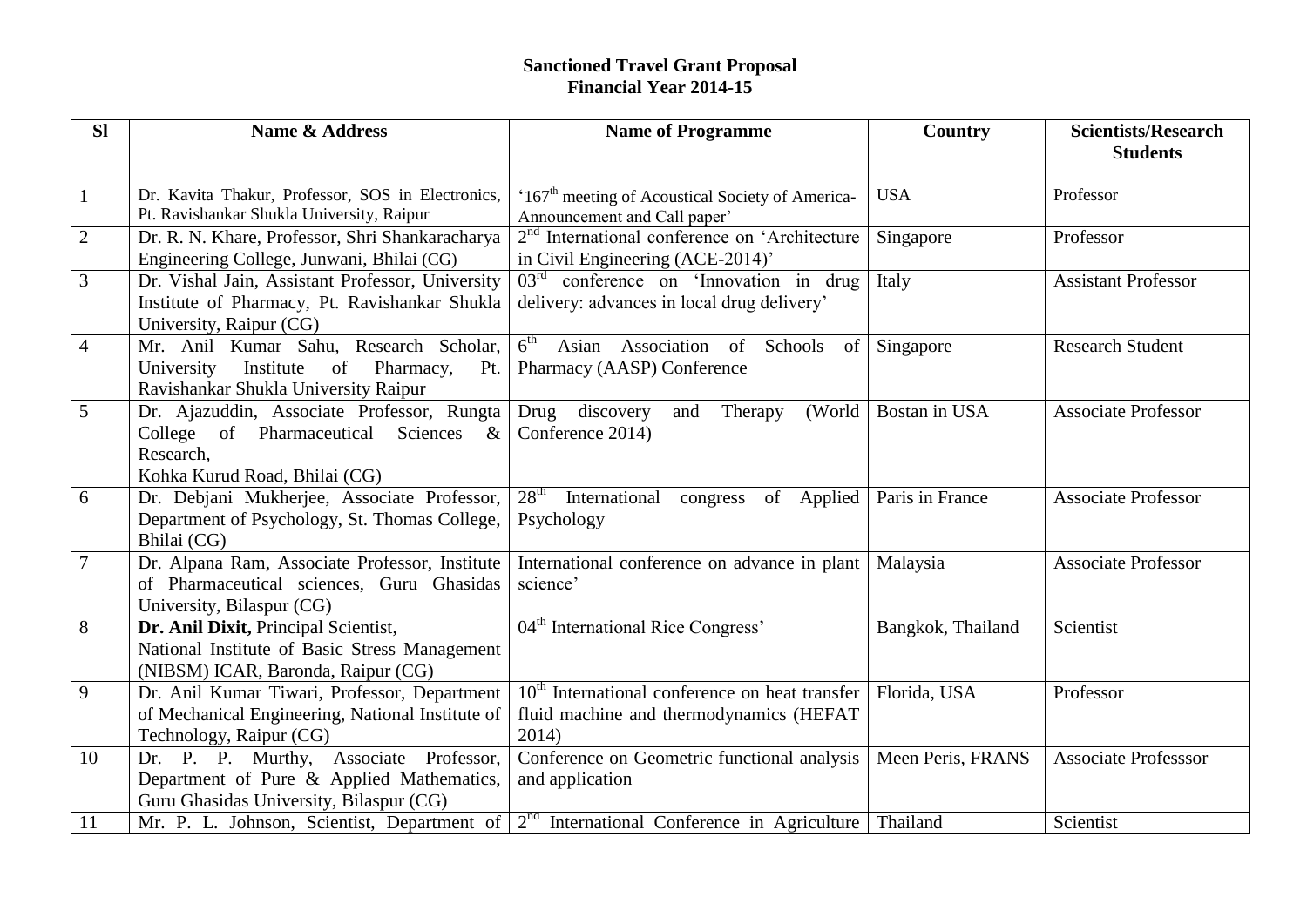## **Sanctioned Travel Grant Proposal**

| <b>Financial Year 2014-15</b> |                                                                                                                                        |                                                                                                      |                   |                                               |  |  |
|-------------------------------|----------------------------------------------------------------------------------------------------------------------------------------|------------------------------------------------------------------------------------------------------|-------------------|-----------------------------------------------|--|--|
| <b>SI</b>                     | Name & Address                                                                                                                         | <b>Name of Programme</b>                                                                             | <b>Country</b>    | <b>Scientists/Research</b><br><b>Students</b> |  |  |
| $\mathbf{1}$                  | Dr. Kavita Thakur, Professor, SOS in Electronics,<br>Pt. Ravishankar Shukla University, Raipur                                         | '167 <sup>th</sup> meeting of Acoustical Society of America-<br>Announcement and Call paper'         | <b>USA</b>        | Professor                                     |  |  |
| $\overline{2}$                | Dr. R. N. Khare, Professor, Shri Shankaracharya<br>Engineering College, Junwani, Bhilai (CG)                                           | 2 <sup>nd</sup> International conference on 'Architecture<br>in Civil Engineering (ACE-2014)'        | Singapore         | Professor                                     |  |  |
| $\overline{3}$                | Dr. Vishal Jain, Assistant Professor, University<br>Institute of Pharmacy, Pt. Ravishankar Shukla<br>University, Raipur (CG)           | $03rd$ conference on 'Innovation in drug<br>delivery: advances in local drug delivery'               | Italy             | <b>Assistant Professor</b>                    |  |  |
| $\overline{4}$                | Mr. Anil Kumar Sahu, Research Scholar,<br>Pharmacy,<br>University<br>Institute<br>of<br>Pt.<br>Ravishankar Shukla University Raipur    | 6 <sup>th</sup><br>Asian<br>Association<br>of<br>Schools<br>of<br>Pharmacy (AASP) Conference         | Singapore         | <b>Research Student</b>                       |  |  |
| 5                             | Dr. Ajazuddin, Associate Professor, Rungta<br>College of Pharmaceutical Sciences<br>$\&$<br>Research,<br>Kohka Kurud Road, Bhilai (CG) | Drug discovery<br>Therapy<br>(World<br>and<br>Conference 2014)                                       | Bostan in USA     | <b>Associate Professor</b>                    |  |  |
| 6                             | Dr. Debjani Mukherjee, Associate Professor,<br>Department of Psychology, St. Thomas College,<br>Bhilai (CG)                            | $28th$ International<br>congress of Applied<br>Psychology                                            | Paris in France   | <b>Associate Professor</b>                    |  |  |
| $\overline{7}$                | Dr. Alpana Ram, Associate Professor, Institute<br>of Pharmaceutical sciences, Guru Ghasidas<br>University, Bilaspur (CG)               | International conference on advance in plant<br>science'                                             | Malaysia          | <b>Associate Professor</b>                    |  |  |
| 8                             | Dr. Anil Dixit, Principal Scientist,<br>National Institute of Basic Stress Management<br>(NIBSM) ICAR, Baronda, Raipur (CG)            | 04 <sup>th</sup> International Rice Congress'                                                        | Bangkok, Thailand | Scientist                                     |  |  |
| 9                             | Dr. Anil Kumar Tiwari, Professor, Department<br>of Mechanical Engineering, National Institute of<br>Technology, Raipur (CG)            | $10th$ International conference on heat transfer<br>fluid machine and thermodynamics (HEFAT<br>2014) | Florida, USA      | Professor                                     |  |  |
| 10                            | Dr. P. P. Murthy, Associate Professor,<br>Department of Pure & Applied Mathematics,<br>Guru Ghasidas University, Bilaspur (CG)         | Conference on Geometric functional analysis<br>and application                                       | Meen Peris, FRANS | <b>Associate Professsor</b>                   |  |  |
| 11                            | Mr. P. L. Johnson, Scientist, Department of                                                                                            | $2nd$ International Conference in Agriculture                                                        | Thailand          | Scientist                                     |  |  |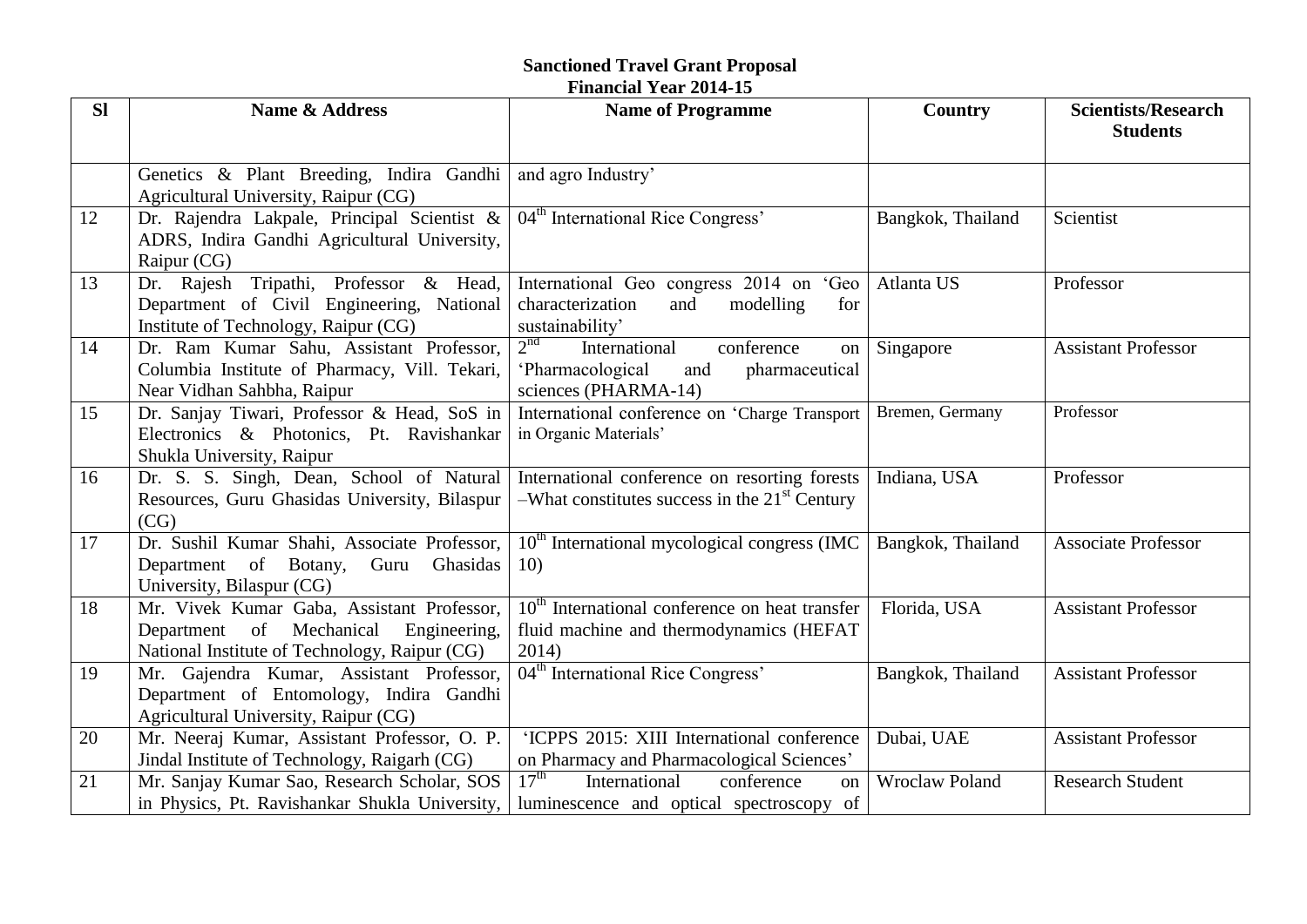## **Sanctioned Travel Grant Proposal**

|           |                                                       | <b>Financial Year 2014-15</b>                                   |                       |                                               |
|-----------|-------------------------------------------------------|-----------------------------------------------------------------|-----------------------|-----------------------------------------------|
| <b>SI</b> | Name & Address                                        | <b>Name of Programme</b>                                        | <b>Country</b>        | <b>Scientists/Research</b><br><b>Students</b> |
|           |                                                       |                                                                 |                       |                                               |
|           | Genetics & Plant Breeding, Indira Gandhi              | and agro Industry'                                              |                       |                                               |
|           | Agricultural University, Raipur (CG)                  |                                                                 |                       |                                               |
| 12        | Dr. Rajendra Lakpale, Principal Scientist &           | 04 <sup>th</sup> International Rice Congress'                   | Bangkok, Thailand     | Scientist                                     |
|           | ADRS, Indira Gandhi Agricultural University,          |                                                                 |                       |                                               |
|           | Raipur (CG)                                           |                                                                 |                       |                                               |
| 13        | Dr. Rajesh Tripathi, Professor & Head,                | International Geo congress 2014 on 'Geo                         | Atlanta US            | Professor                                     |
|           | Department of Civil Engineering, National             | characterization<br>modelling<br>and<br>for                     |                       |                                               |
|           | Institute of Technology, Raipur (CG)                  | sustainability'                                                 |                       |                                               |
| 14        | Dr. Ram Kumar Sahu, Assistant Professor,              | 2 <sup>nd</sup><br>International<br>conference<br><sub>on</sub> | Singapore             | <b>Assistant Professor</b>                    |
|           | Columbia Institute of Pharmacy, Vill. Tekari,         | pharmaceutical<br>'Pharmacological<br>and                       |                       |                                               |
|           | Near Vidhan Sahbha, Raipur                            | sciences (PHARMA-14)                                            |                       |                                               |
| 15        | Dr. Sanjay Tiwari, Professor & Head, SoS in           | International conference on 'Charge Transport                   | Bremen, Germany       | Professor                                     |
|           | Electronics & Photonics, Pt. Ravishankar              | in Organic Materials'                                           |                       |                                               |
|           | Shukla University, Raipur                             |                                                                 |                       |                                               |
| 16        | Dr. S. S. Singh, Dean, School of Natural              | International conference on resorting forests                   | Indiana, USA          | Professor                                     |
|           | Resources, Guru Ghasidas University, Bilaspur<br>(CG) | -What constitutes success in the $21st$ Century                 |                       |                                               |
| 17        | Dr. Sushil Kumar Shahi, Associate Professor,          | $10th$ International mycological congress (IMC)                 | Bangkok, Thailand     | <b>Associate Professor</b>                    |
|           | Department of Botany,<br>Guru<br>Ghasidas             | 10)                                                             |                       |                                               |
|           | University, Bilaspur (CG)                             |                                                                 |                       |                                               |
| 18        | Mr. Vivek Kumar Gaba, Assistant Professor,            | $10th$ International conference on heat transfer                | Florida, USA          | <b>Assistant Professor</b>                    |
|           | Department of Mechanical<br>Engineering,              | fluid machine and thermodynamics (HEFAT                         |                       |                                               |
|           | National Institute of Technology, Raipur (CG)         | 2014)                                                           |                       |                                               |
| 19        | Mr. Gajendra Kumar, Assistant Professor,              | 04 <sup>th</sup> International Rice Congress'                   | Bangkok, Thailand     | <b>Assistant Professor</b>                    |
|           | Department of Entomology, Indira Gandhi               |                                                                 |                       |                                               |
|           | Agricultural University, Raipur (CG)                  |                                                                 |                       |                                               |
| 20        | Mr. Neeraj Kumar, Assistant Professor, O. P.          | 'ICPPS 2015: XIII International conference                      | Dubai, UAE            | <b>Assistant Professor</b>                    |
|           | Jindal Institute of Technology, Raigarh (CG)          | on Pharmacy and Pharmacological Sciences'                       |                       |                                               |
| 21        | Mr. Sanjay Kumar Sao, Research Scholar, SOS           | $17^{\text{th}}$<br>International<br>conference<br>$_{\rm on}$  | <b>Wroclaw Poland</b> | <b>Research Student</b>                       |
|           | in Physics, Pt. Ravishankar Shukla University,        | luminescence and optical spectroscopy of                        |                       |                                               |